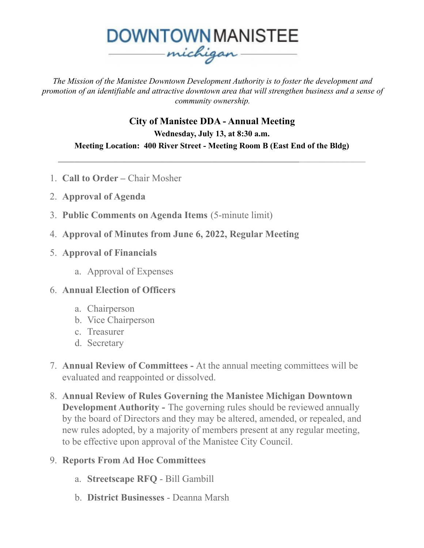

*The Mission of the Manistee Downtown Development Authority is to foster the development and promotion of an identifiable and attractive downtown area that will strengthen business and a sense of community ownership.*

**City of Manistee DDA - Annual Meeting Wednesday, July 13, at 8:30 a.m. Meeting Location: 400 River Street - Meeting Room B (East End of the Bldg)**

 $\mathcal{L}_\text{max}$  , and the contribution of the contribution of the contribution of the contribution of the contribution of the contribution of the contribution of the contribution of the contribution of the contribution of t

- 1. **Call to Order –** Chair Mosher
- 2. **Approval of Agenda**
- 3. **Public Comments on Agenda Items** (5-minute limit)
- 4. **Approval of Minutes from June 6, 2022, Regular Meeting**
- 5. **Approval of Financials**
	- a. Approval of Expenses
- 6. **Annual Election of Officers**
	- a. Chairperson
	- b. Vice Chairperson
	- c. Treasurer
	- d. Secretary
- 7. **Annual Review of Committees -** At the annual meeting committees will be evaluated and reappointed or dissolved.
- 8. **Annual Review of Rules Governing the Manistee Michigan Downtown Development Authority -** The governing rules should be reviewed annually by the board of Directors and they may be altered, amended, or repealed, and new rules adopted, by a majority of members present at any regular meeting, to be effective upon approval of the Manistee City Council.

## 9. **Reports From Ad Hoc Committees**

- a. **Streetscape RFQ** Bill Gambill
- b. **District Businesses** Deanna Marsh